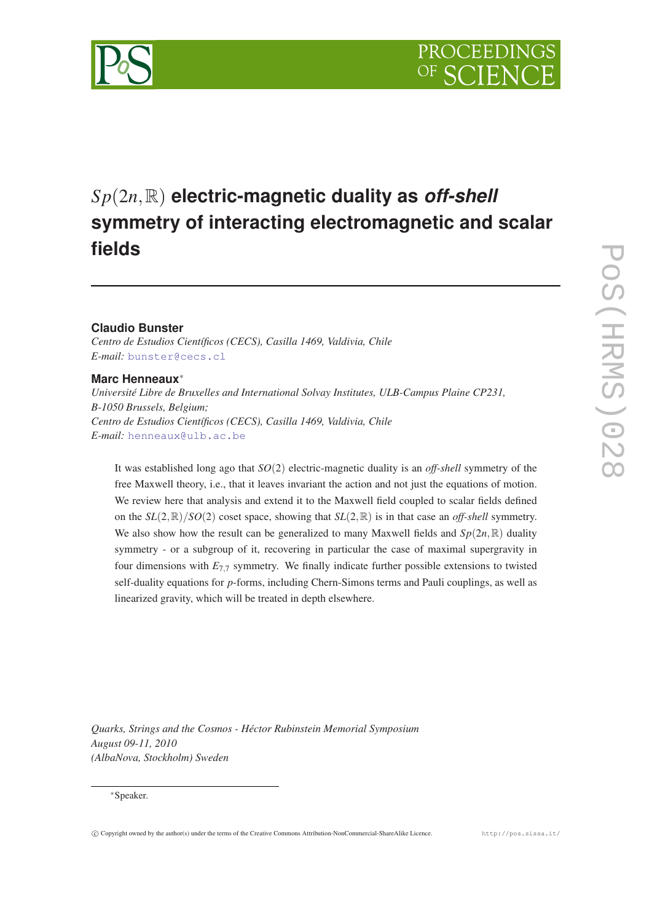

# *Sp*(2*n*,R) **electric-magnetic duality as** *off-shell* **symmetry of interacting electromagnetic and scalar fields**

# **Claudio Bunster**

*Centro de Estudios Científicos (CECS), Casilla 1469, Valdivia, Chile E-mail:* [bunster@cecs.cl](mailto:bunster@cecs.cl)

# **Marc Henneaux**<sup>∗</sup>

*Université Libre de Bruxelles and International Solvay Institutes, ULB-Campus Plaine CP231, B-1050 Brussels, Belgium; Centro de Estudios Científicos (CECS), Casilla 1469, Valdivia, Chile E-mail:* [henneaux@ulb.ac.be](mailto:henneaux@ulb.ac.be)

It was established long ago that *SO*(2) electric-magnetic duality is an *off-shell* symmetry of the free Maxwell theory, i.e., that it leaves invariant the action and not just the equations of motion. We review here that analysis and extend it to the Maxwell field coupled to scalar fields defined on the  $SL(2,\mathbb{R})/SO(2)$  coset space, showing that  $SL(2,\mathbb{R})$  is in that case an *off-shell* symmetry. We also show how the result can be generalized to many Maxwell fields and  $Sp(2n,\mathbb{R})$  duality symmetry - or a subgroup of it, recovering in particular the case of maximal supergravity in four dimensions with *E*7,<sup>7</sup> symmetry. We finally indicate further possible extensions to twisted self-duality equations for *p*-forms, including Chern-Simons terms and Pauli couplings, as well as linearized gravity, which will be treated in depth elsewhere.

*Quarks, Strings and the Cosmos - Héctor Rubinstein Memorial Symposium August 09-11, 2010 (AlbaNova, Stockholm) Sweden*

### <sup>∗</sup>Speaker.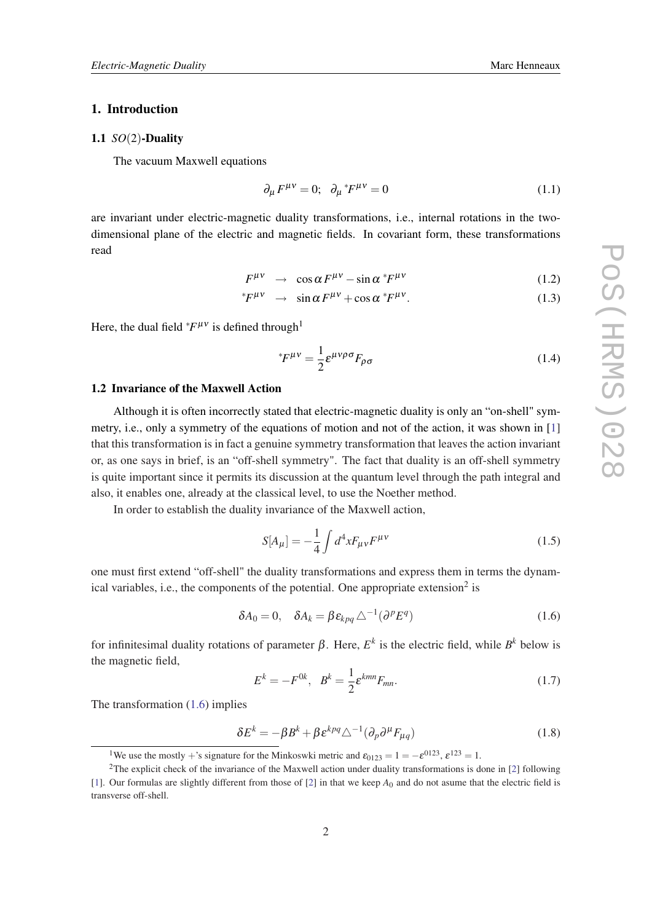# <span id="page-1-0"></span>1. Introduction

#### 1.1 *SO*(2)-Duality

The vacuum Maxwell equations

$$
\partial_{\mu} F^{\mu\nu} = 0; \quad \partial_{\mu} {}^*F^{\mu\nu} = 0 \tag{1.1}
$$

are invariant under electric-magnetic duality transformations, i.e., internal rotations in the twodimensional plane of the electric and magnetic fields. In covariant form, these transformations read

$$
F^{\mu\nu} \rightarrow \cos \alpha F^{\mu\nu} - \sin \alpha \, {}^*F^{\mu\nu} \tag{1.2}
$$

$$
*F^{\mu\nu} \rightarrow \sin \alpha F^{\mu\nu} + \cos \alpha * F^{\mu\nu}.
$$
 (1.3)

Here, the dual field  $*F^{\mu\nu}$  is defined through<sup>1</sup>

$$
^*F^{\mu\nu} = \frac{1}{2} \varepsilon^{\mu\nu\rho\sigma} F_{\rho\sigma} \tag{1.4}
$$

# 1.2 Invariance of the Maxwell Action

Although it is often incorrectly stated that electric-magnetic duality is only an "on-shell" symmetry, i.e., only a symmetry of the equations of motion and not of the action, it was shown in [[1](#page-9-0)] that this transformation is in fact a genuine symmetry transformation that leaves the action invariant or, as one says in brief, is an "off-shell symmetry". The fact that duality is an off-shell symmetry is quite important since it permits its discussion at the quantum level through the path integral and also, it enables one, already at the classical level, to use the Noether method.

In order to establish the duality invariance of the Maxwell action,

$$
S[A_{\mu}] = -\frac{1}{4} \int d^4x F_{\mu\nu} F^{\mu\nu} \tag{1.5}
$$

one must first extend "off-shell" the duality transformations and express them in terms the dynamical variables, i.e., the components of the potential. One appropriate extension<sup>2</sup> is

$$
\delta A_0 = 0, \quad \delta A_k = \beta \varepsilon_{kpq} \triangle^{-1} (\partial^p E^q) \tag{1.6}
$$

for infinitesimal duality rotations of parameter β. Here, *E k* is the electric field, while *B <sup>k</sup>* below is the magnetic field,

$$
E^{k} = -F^{0k}, \quad B^{k} = \frac{1}{2} \varepsilon^{kmn} F_{mn}.
$$
 (1.7)

The transformation (1.6) implies

$$
\delta E^{k} = -\beta B^{k} + \beta \varepsilon^{kpq} \triangle^{-1} (\partial_{p} \partial^{\mu} F_{\mu q})
$$
\n(1.8)

<sup>&</sup>lt;sup>1</sup>We use the mostly +'s signature for the Minkoswki metric and  $\varepsilon_{0123} = 1 = -\varepsilon^{0123}$ ,  $\varepsilon^{123} = 1$ .

<sup>&</sup>lt;sup>2</sup>The explicit check of the invariance of the Maxwell action under duality transformations is done in [\[2\]](#page-9-0) following [\[1\]](#page-9-0). Our formulas are slightly different from those of  $[2]$  $[2]$  $[2]$  in that we keep  $A_0$  and do not asume that the electric field is transverse off-shell.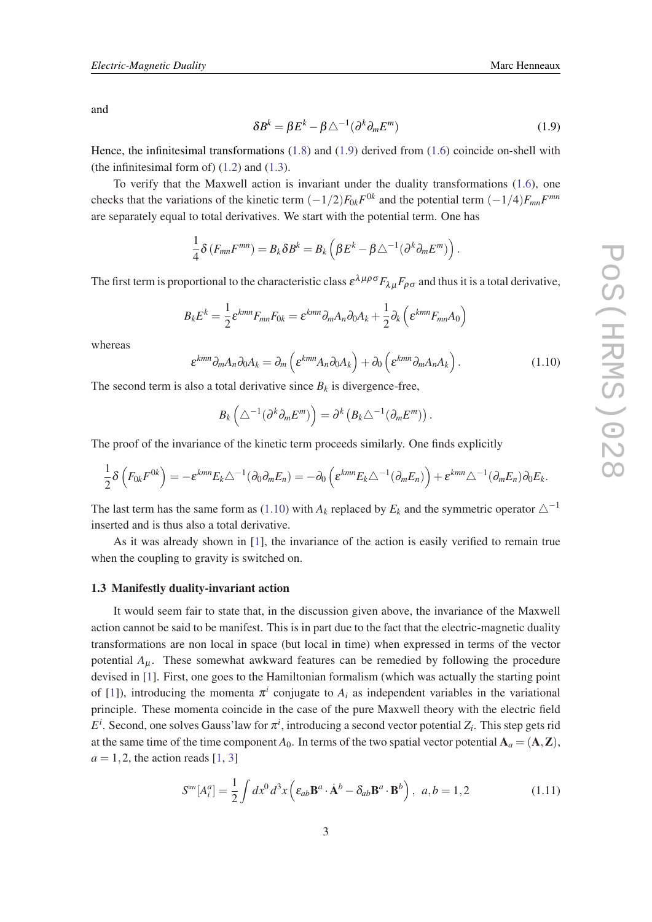<span id="page-2-0"></span>and

$$
\delta B^{k} = \beta E^{k} - \beta \triangle^{-1} (\partial^{k} \partial_{m} E^{m})
$$
\n(1.9)

Hence, the infinitesimal transformations ([1.8](#page-1-0)) and (1.9) derived from ([1.6](#page-1-0)) coincide on-shell with (the infinitesimal form of)  $(1.2)$  and  $(1.3)$  $(1.3)$ .

To verify that the Maxwell action is invariant under the duality transformations ([1.6](#page-1-0)), one checks that the variations of the kinetic term  $(-1/2)F_{0k}F^{0k}$  and the potential term  $(-1/4)F_{mn}F^{mn}$ are separately equal to total derivatives. We start with the potential term. One has

$$
\frac{1}{4}\delta\left(F_{mn}F^{mn}\right) = B_k\delta B^k = B_k\left(\beta E^k - \beta \triangle^{-1}(\partial^k\partial_m E^m)\right).
$$

The first term is proportional to the characteristic class  $\varepsilon^{\lambda\mu\rho\sigma}F_{\lambda\mu}F_{\rho\sigma}$  and thus it is a total derivative,

$$
B_k E^k = \frac{1}{2} \varepsilon^{kmn} F_{mn} F_{0k} = \varepsilon^{kmn} \partial_m A_n \partial_0 A_k + \frac{1}{2} \partial_k \left( \varepsilon^{kmn} F_{mn} A_0 \right)
$$

whereas

 $\epsilon^{kmn} \partial_m A_n \partial_0 A_k = \partial_m \left( \epsilon^{kmn} A_n \partial_0 A_k \right) + \partial_0 \left( \epsilon^{kmn} \partial_m A_n A_k \right)$  $(1.10)$ 

The second term is also a total derivative since  $B_k$  is divergence-free,

$$
B_k\left(\Delta^{-1}(\partial^k \partial_m E^m)\right) = \partial^k \left(B_k \Delta^{-1}(\partial_m E^m)\right).
$$

The proof of the invariance of the kinetic term proceeds similarly. One finds explicitly

$$
\frac{1}{2}\delta\left(F_{0k}F^{0k}\right)=-\varepsilon^{kmn}E_k\triangle^{-1}(\partial_0\partial_mE_n)=-\partial_0\left(\varepsilon^{kmn}E_k\triangle^{-1}(\partial_mE_n)\right)+\varepsilon^{kmn}\triangle^{-1}(\partial_mE_n)\partial_0E_k.
$$

The last term has the same form as (1.10) with  $A_k$  replaced by  $E_k$  and the symmetric operator  $\triangle^{-1}$ inserted and is thus also a total derivative.

As it was already shown in [\[1\]](#page-9-0), the invariance of the action is easily verified to remain true when the coupling to gravity is switched on.

#### 1.3 Manifestly duality-invariant action

It would seem fair to state that, in the discussion given above, the invariance of the Maxwell action cannot be said to be manifest. This is in part due to the fact that the electric-magnetic duality transformations are non local in space (but local in time) when expressed in terms of the vector potential  $A_{\mu}$ . These somewhat awkward features can be remedied by following the procedure devised in [[1](#page-9-0)]. First, one goes to the Hamiltonian formalism (which was actually the starting point of [\[1\]](#page-9-0)), introducing the momenta  $\pi^{i}$  conjugate to  $A_{i}$  as independent variables in the variational principle. These momenta coincide in the case of the pure Maxwell theory with the electric field  $E^i$ . Second, one solves Gauss'law for  $\pi^i$ , introducing a second vector potential  $Z_i$ . This step gets rid at the same time of the time component  $A_0$ . In terms of the two spatial vector potential  $A_a = (A, Z)$ ,  $a = 1, 2$  $a = 1, 2$  $a = 1, 2$ , the action reads [1, [3\]](#page-9-0)

$$
Sinv[Aia] = \frac{1}{2} \int dx0 d3x \left( \varepsilon_{ab} \mathbf{B}a \cdot \dot{\mathbf{A}}b - \delta_{ab} \mathbf{B}a \cdot \mathbf{B}b \right), a, b = 1, 2
$$
 (1.11)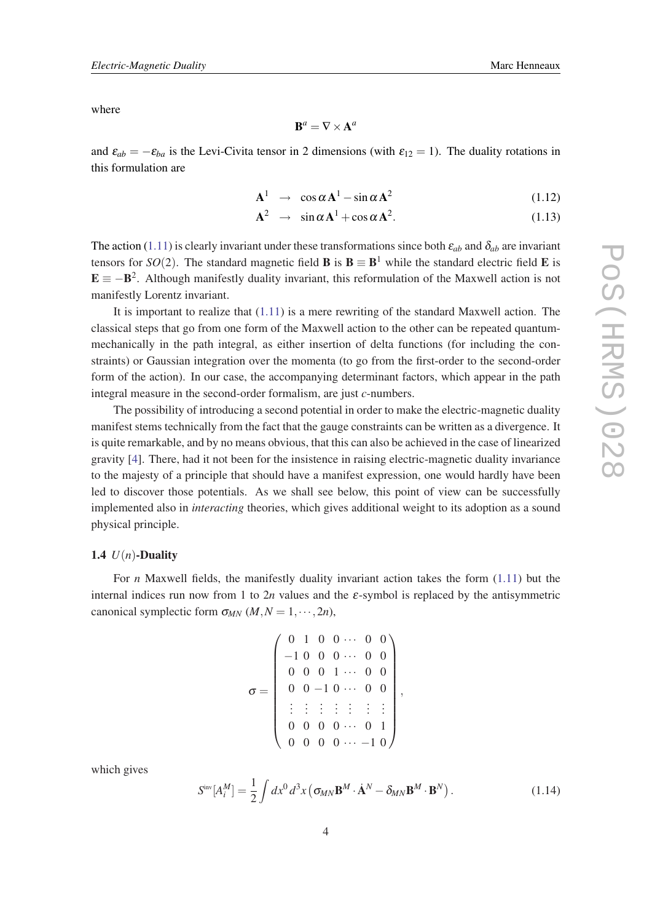<span id="page-3-0"></span>where

$$
\mathbf{B}^a = \nabla \times \mathbf{A}^a
$$

and  $\varepsilon_{ab} = -\varepsilon_{ba}$  is the Levi-Civita tensor in 2 dimensions (with  $\varepsilon_{12} = 1$ ). The duality rotations in this formulation are

$$
\mathbf{A}^1 \rightarrow \cos \alpha \mathbf{A}^1 - \sin \alpha \mathbf{A}^2 \tag{1.12}
$$

$$
\mathbf{A}^2 \rightarrow \sin \alpha \mathbf{A}^1 + \cos \alpha \mathbf{A}^2. \tag{1.13}
$$

The action ([1.11\)](#page-2-0) is clearly invariant under these transformations since both  $\varepsilon_{ab}$  and  $\delta_{ab}$  are invariant tensors for *SO*(2). The standard magnetic field **B** is **B**  $\equiv$  **B**<sup>1</sup> while the standard electric field **E** is  $\mathbf{E} \equiv -\mathbf{B}^2$ . Although manifestly duality invariant, this reformulation of the Maxwell action is not manifestly Lorentz invariant.

It is important to realize that  $(1.11)$  $(1.11)$  is a mere rewriting of the standard Maxwell action. The classical steps that go from one form of the Maxwell action to the other can be repeated quantummechanically in the path integral, as either insertion of delta functions (for including the constraints) or Gaussian integration over the momenta (to go from the first-order to the second-order form of the action). In our case, the accompanying determinant factors, which appear in the path integral measure in the second-order formalism, are just *c*-numbers.

The possibility of introducing a second potential in order to make the electric-magnetic duality manifest stems technically from the fact that the gauge constraints can be written as a divergence. It is quite remarkable, and by no means obvious, that this can also be achieved in the case of linearized gravity [\[4\]](#page-9-0). There, had it not been for the insistence in raising electric-magnetic duality invariance to the majesty of a principle that should have a manifest expression, one would hardly have been led to discover those potentials. As we shall see below, this point of view can be successfully implemented also in *interacting* theories, which gives additional weight to its adoption as a sound physical principle.

#### 1.4 *U*(*n*)-Duality

For *n* Maxwell fields, the manifestly duality invariant action takes the form ([1.11](#page-2-0)) but the internal indices run now from 1 to 2*n* values and the  $\varepsilon$ -symbol is replaced by the antisymmetric canonical symplectic form  $\sigma_{MN}$  (*M*, *N* = 1, · · · , 2*n*),

$$
\sigma = \left( \begin{array}{cccccc} 0 & 1 & 0 & 0 & \cdots & 0 & 0 \\ -1 & 0 & 0 & 0 & \cdots & 0 & 0 \\ 0 & 0 & 0 & 1 & \cdots & 0 & 0 \\ 0 & 0 & -1 & 0 & \cdots & 0 & 0 \\ \vdots & \vdots & \vdots & \vdots & \vdots & \vdots & \vdots \\ 0 & 0 & 0 & 0 & \cdots & 0 & 1 \\ 0 & 0 & 0 & 0 & \cdots & -1 & 0 \end{array} \right),
$$

which gives

$$
S^{\text{inv}}[A_i^M] = \frac{1}{2} \int dx^0 d^3x \left( \sigma_{MN} \mathbf{B}^M \cdot \dot{\mathbf{A}}^N - \delta_{MN} \mathbf{B}^M \cdot \mathbf{B}^N \right).
$$
 (1.14)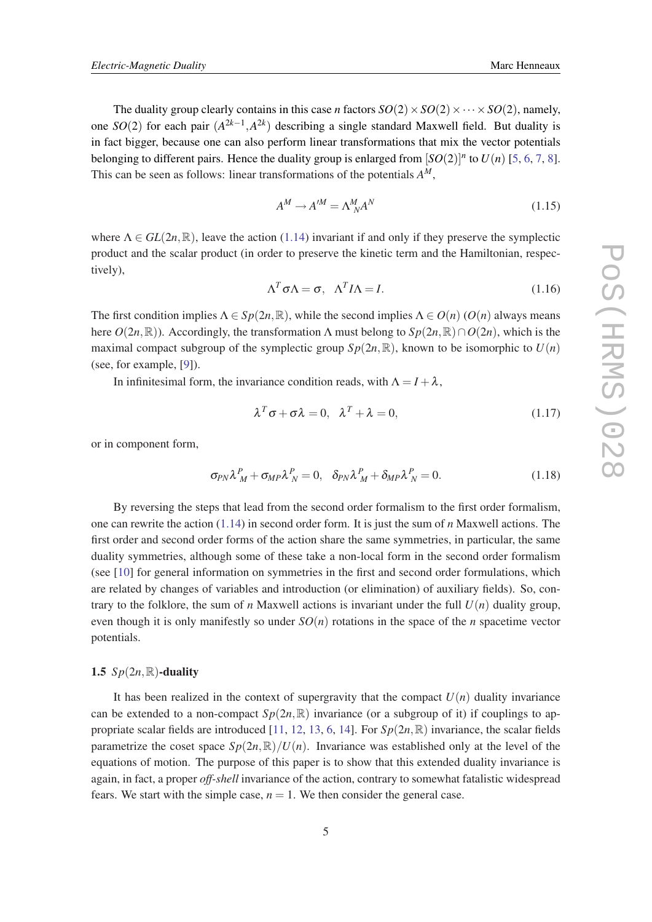The duality group clearly contains in this case *n* factors  $SO(2) \times SO(2) \times \cdots \times SO(2)$ , namely, one  $SO(2)$  for each pair  $(A^{2k-1}, A^{2k})$  describing a single standard Maxwell field. But duality is in fact bigger, because one can also perform linear transformations that mix the vector potentials belonging to different pairs. Hence the duality group is enlarged from  $[SO(2)]^n$  to  $U(n)$  [[5](#page-9-0), [6](#page-9-0), [7,](#page-9-0) [8\]](#page-9-0). This can be seen as follows: linear transformations of the potentials *A M*,

$$
A^M \to A^{\prime M} = \Lambda^M_{\ N} A^N \tag{1.15}
$$

where  $\Lambda \in GL(2n,\mathbb{R})$ , leave the action ([1.14\)](#page-3-0) invariant if and only if they preserve the symplectic product and the scalar product (in order to preserve the kinetic term and the Hamiltonian, respectively),

$$
\Lambda^T \sigma \Lambda = \sigma, \ \ \Lambda^T I \Lambda = I. \tag{1.16}
$$

The first condition implies  $\Lambda \in Sp(2n,\mathbb{R})$ , while the second implies  $\Lambda \in O(n)$  ( $O(n)$ ) always means here  $O(2n,\mathbb{R})$ ). Accordingly, the transformation  $\Lambda$  must belong to  $Sp(2n,\mathbb{R})\cap O(2n)$ , which is the maximal compact subgroup of the symplectic group  $Sp(2n,\mathbb{R})$ , known to be isomorphic to  $U(n)$ (see, for example, [[9](#page-9-0)]).

In infinitesimal form, the invariance condition reads, with  $\Lambda = I + \lambda$ ,

$$
\lambda^T \sigma + \sigma \lambda = 0, \quad \lambda^T + \lambda = 0,
$$
\n(1.17)

or in component form,

$$
\sigma_{PN} \lambda_M^P + \sigma_{MP} \lambda_N^P = 0, \quad \delta_{PN} \lambda_M^P + \delta_{MP} \lambda_N^P = 0. \tag{1.18}
$$

By reversing the steps that lead from the second order formalism to the first order formalism, one can rewrite the action [\(1.14](#page-3-0)) in second order form. It is just the sum of *n* Maxwell actions. The first order and second order forms of the action share the same symmetries, in particular, the same duality symmetries, although some of these take a non-local form in the second order formalism (see [[10](#page-10-0)] for general information on symmetries in the first and second order formulations, which are related by changes of variables and introduction (or elimination) of auxiliary fields). So, contrary to the folklore, the sum of *n* Maxwell actions is invariant under the full  $U(n)$  duality group, even though it is only manifestly so under  $SO(n)$  rotations in the space of the *n* spacetime vector potentials.

#### 1.5  $Sp(2n,\mathbb{R})$ -duality

It has been realized in the context of supergravity that the compact  $U(n)$  duality invariance can be extended to a non-compact  $Sp(2n,\mathbb{R})$  invariance (or a subgroup of it) if couplings to ap-propriate scalar fields are introduced [\[11](#page-10-0), [12](#page-10-0), [13,](#page-10-0) [6,](#page-9-0) [14](#page-10-0)]. For  $Sp(2n,\mathbb{R})$  invariance, the scalar fields parametrize the coset space  $Sp(2n,\mathbb{R})/U(n)$ . Invariance was established only at the level of the equations of motion. The purpose of this paper is to show that this extended duality invariance is again, in fact, a proper *off-shell* invariance of the action, contrary to somewhat fatalistic widespread fears. We start with the simple case,  $n = 1$ . We then consider the general case.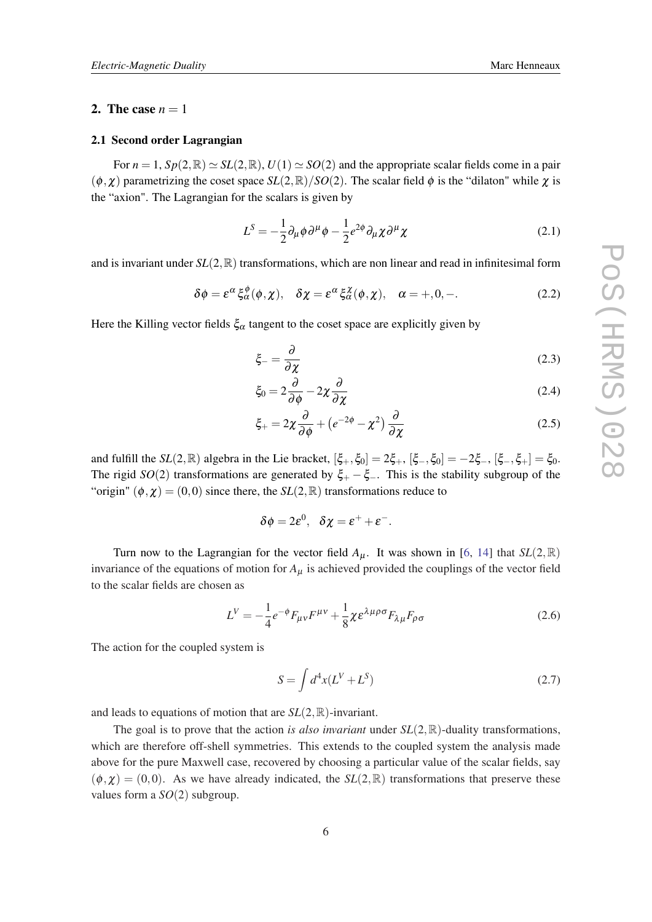#### <span id="page-5-0"></span>2. The case  $n = 1$

#### 2.1 Second order Lagrangian

For  $n = 1$ ,  $Sp(2, \mathbb{R}) \simeq SL(2, \mathbb{R})$ ,  $U(1) \simeq SO(2)$  and the appropriate scalar fields come in a pair  $(\phi, \chi)$  parametrizing the coset space *SL*(2, R)/*SO*(2). The scalar field  $\phi$  is the "dilaton" while  $\chi$  is the "axion". The Lagrangian for the scalars is given by

$$
L^{S} = -\frac{1}{2}\partial_{\mu}\phi\partial^{\mu}\phi - \frac{1}{2}e^{2\phi}\partial_{\mu}\chi\partial^{\mu}\chi
$$
 (2.1)

and is invariant under  $SL(2,\mathbb{R})$  transformations, which are non linear and read in infinitesimal form

$$
\delta \phi = \varepsilon^{\alpha} \xi_{\alpha}^{\phi}(\phi, \chi), \quad \delta \chi = \varepsilon^{\alpha} \xi_{\alpha}^{\chi}(\phi, \chi), \quad \alpha = +, 0, -.
$$
 (2.2)

Here the Killing vector fields  $\xi_{\alpha}$  tangent to the coset space are explicitly given by

$$
\xi_{-} = \frac{\partial}{\partial \chi} \tag{2.3}
$$

$$
\xi_0 = 2\frac{\partial}{\partial \phi} - 2\chi \frac{\partial}{\partial \chi} \tag{2.4}
$$

$$
\xi_{+} = 2\chi \frac{\partial}{\partial \phi} + \left(e^{-2\phi} - \chi^2\right) \frac{\partial}{\partial \chi} \tag{2.5}
$$

and fulfill the *SL*(2, R) algebra in the Lie bracket,  $[\xi_+, \xi_0] = 2\xi_+, [\xi_-, \xi_0] = -2\xi_-, [\xi_-, \xi_+] = \xi_0$ . The rigid *SO*(2) transformations are generated by  $\xi_{+} - \xi_{-}$ . This is the stability subgroup of the "origin"  $(\phi, \chi) = (0, 0)$  since there, the *SL*(2, R) transformations reduce to

$$
\delta \phi = 2\varepsilon^0, \quad \delta \chi = \varepsilon^+ + \varepsilon^-.
$$

Turn now to the Lagrangian for the vector field  $A_{\mu}$ . It was shown in [[6,](#page-9-0) [14](#page-10-0)] that  $SL(2,\mathbb{R})$ invariance of the equations of motion for  $A<sub>\mu</sub>$  is achieved provided the couplings of the vector field to the scalar fields are chosen as

$$
L^{V} = -\frac{1}{4}e^{-\phi}F_{\mu\nu}F^{\mu\nu} + \frac{1}{8}\chi \varepsilon^{\lambda\mu\rho\sigma}F_{\lambda\mu}F_{\rho\sigma}
$$
 (2.6)

The action for the coupled system is

$$
S = \int d^4x (L^V + L^S) \tag{2.7}
$$

and leads to equations of motion that are  $SL(2,\mathbb{R})$ -invariant.

The goal is to prove that the action *is also invariant* under *SL*(2,R)-duality transformations, which are therefore off-shell symmetries. This extends to the coupled system the analysis made above for the pure Maxwell case, recovered by choosing a particular value of the scalar fields, say  $(\phi, \chi) = (0, 0)$ . As we have already indicated, the *SL*(2, R) transformations that preserve these values form a *SO*(2) subgroup.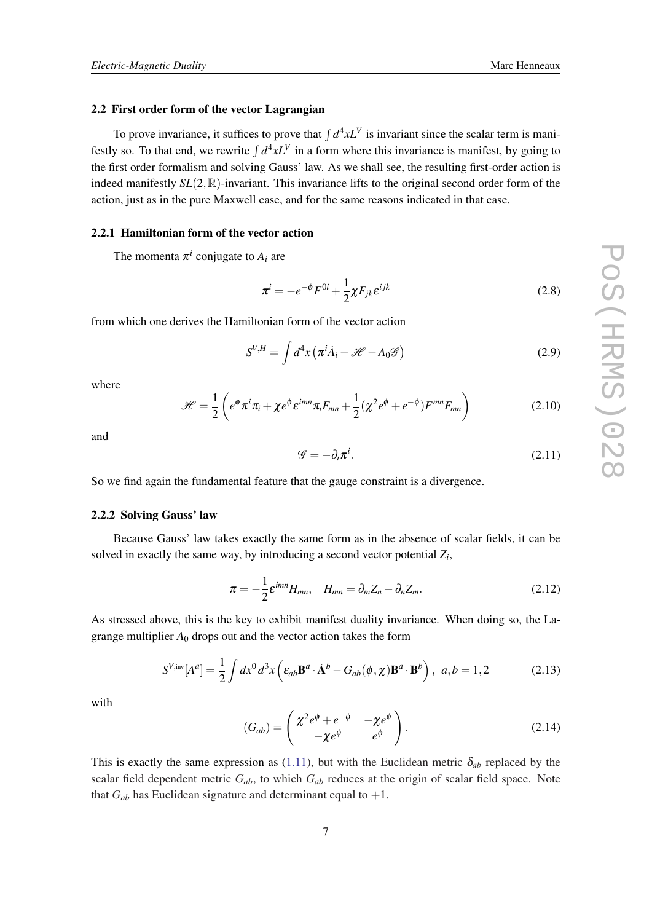#### 2.2 First order form of the vector Lagrangian

To prove invariance, it suffices to prove that  $\int d^4x L^V$  is invariant since the scalar term is manifestly so. To that end, we rewrite  $\int d^4x L^V$  in a form where this invariance is manifest, by going to the first order formalism and solving Gauss' law. As we shall see, the resulting first-order action is indeed manifestly *SL*(2,R)-invariant. This invariance lifts to the original second order form of the action, just as in the pure Maxwell case, and for the same reasons indicated in that case.

# 2.2.1 Hamiltonian form of the vector action

The momenta  $\pi^i$  conjugate to  $A_i$  are

$$
\pi^i = -e^{-\phi} F^{0i} + \frac{1}{2} \chi F_{jk} \varepsilon^{ijk}
$$
\n(2.8)

from which one derives the Hamiltonian form of the vector action

$$
S^{V,H} = \int d^4x \left( \pi^i \dot{A}_i - \mathcal{H} - A_0 \mathcal{G} \right)
$$
 (2.9)

where

$$
\mathcal{H} = \frac{1}{2} \left( e^{\phi} \pi^i \pi_i + \chi e^{\phi} \epsilon^{imn} \pi_i F_{mn} + \frac{1}{2} (\chi^2 e^{\phi} + e^{-\phi}) F^{mn} F_{mn} \right)
$$
(2.10)

and

$$
\mathscr{G} = -\partial_i \pi^i. \tag{2.11}
$$

So we find again the fundamental feature that the gauge constraint is a divergence.

#### 2.2.2 Solving Gauss' law

Because Gauss' law takes exactly the same form as in the absence of scalar fields, it can be solved in exactly the same way, by introducing a second vector potential *Z<sup>i</sup>* ,

$$
\pi = -\frac{1}{2} \varepsilon^{imn} H_{mn}, \quad H_{mn} = \partial_m Z_n - \partial_n Z_m.
$$
 (2.12)

As stressed above, this is the key to exhibit manifest duality invariance. When doing so, the Lagrange multiplier *A*<sup>0</sup> drops out and the vector action takes the form

$$
S^{V,\text{inv}}[A^a] = \frac{1}{2} \int dx^0 d^3x \left( \varepsilon_{ab} \mathbf{B}^a \cdot \dot{\mathbf{A}}^b - G_{ab}(\phi, \chi) \mathbf{B}^a \cdot \mathbf{B}^b \right), \ a, b = 1, 2 \tag{2.13}
$$

with

$$
(G_{ab}) = \begin{pmatrix} \chi^2 e^{\phi} + e^{-\phi} & -\chi e^{\phi} \\ -\chi e^{\phi} & e^{\phi} \end{pmatrix}.
$$
 (2.14)

This is exactly the same expression as [\(1.11](#page-2-0)), but with the Euclidean metric  $\delta_{ab}$  replaced by the scalar field dependent metric *Gab*, to which *Gab* reduces at the origin of scalar field space. Note that  $G_{ab}$  has Euclidean signature and determinant equal to  $+1$ .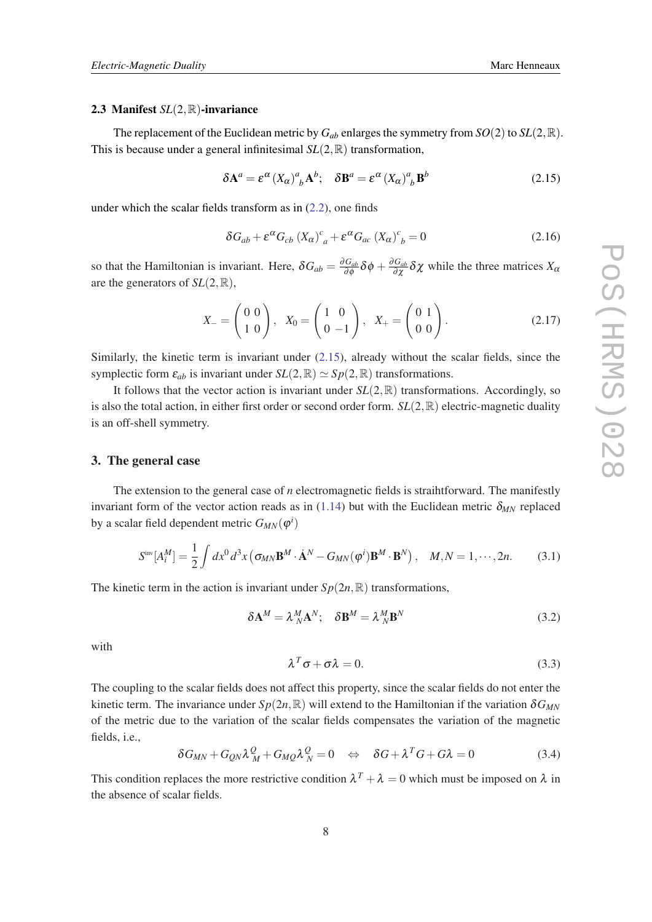#### <span id="page-7-0"></span>2.3 Manifest *SL*(2,R)-invariance

The replacement of the Euclidean metric by  $G_{ab}$  enlarges the symmetry from  $SO(2)$  to  $SL(2,\mathbb{R})$ . This is because under a general infinitesimal  $SL(2,\mathbb{R})$  transformation,

$$
\delta \mathbf{A}^{a} = \varepsilon^{\alpha} (X_{\alpha})^{a}{}_{b} \mathbf{A}^{b}; \quad \delta \mathbf{B}^{a} = \varepsilon^{\alpha} (X_{\alpha})^{a}{}_{b} \mathbf{B}^{b}
$$
 (2.15)

under which the scalar fields transform as in ([2.2](#page-5-0)), one finds

$$
\delta G_{ab} + \varepsilon^{\alpha} G_{cb} \left(X_{\alpha}\right)^{c}{}_{a} + \varepsilon^{\alpha} G_{ac} \left(X_{\alpha}\right)^{c}{}_{b} = 0 \tag{2.16}
$$

so that the Hamiltonian is invariant. Here,  $\delta G_{ab} = \frac{\partial G_{ab}}{\partial \phi} \delta \phi + \frac{\partial G_{ab}}{\partial \chi} \delta \chi$  while the three matrices  $X_{0}$ are the generators of  $SL(2,\mathbb{R})$ ,

$$
X_{-} = \begin{pmatrix} 0 & 0 \\ 1 & 0 \end{pmatrix}, X_0 = \begin{pmatrix} 1 & 0 \\ 0 & -1 \end{pmatrix}, X_{+} = \begin{pmatrix} 0 & 1 \\ 0 & 0 \end{pmatrix}.
$$
 (2.17)

Similarly, the kinetic term is invariant under (2.15), already without the scalar fields, since the symplectic form  $\varepsilon_{ab}$  is invariant under  $SL(2,\mathbb{R}) \simeq Sp(2,\mathbb{R})$  transformations.

It follows that the vector action is invariant under  $SL(2,\mathbb{R})$  transformations. Accordingly, so is also the total action, in either first order or second order form. *SL*(2,R) electric-magnetic duality is an off-shell symmetry.

#### 3. The general case

The extension to the general case of *n* electromagnetic fields is straihtforward. The manifestly invariant form of the vector action reads as in ([1.14\)](#page-3-0) but with the Euclidean metric  $\delta_{MN}$  replaced by a scalar field dependent metric  $G_{MN}(\boldsymbol\phi^i)$ 

$$
S^{\text{inv}}[A_i^M] = \frac{1}{2} \int dx^0 d^3x \left( \sigma_{MN} \mathbf{B}^M \cdot \dot{\mathbf{A}}^N - G_{MN}(\boldsymbol{\varphi}^i) \mathbf{B}^M \cdot \mathbf{B}^N \right), \quad M, N = 1, \cdots, 2n. \tag{3.1}
$$

The kinetic term in the action is invariant under  $Sp(2n,\mathbb{R})$  transformations,

$$
\delta \mathbf{A}^M = \lambda^M_{N} \mathbf{A}^N; \quad \delta \mathbf{B}^M = \lambda^M_{N} \mathbf{B}^N \tag{3.2}
$$

with

$$
\lambda^T \sigma + \sigma \lambda = 0. \tag{3.3}
$$

The coupling to the scalar fields does not affect this property, since the scalar fields do not enter the kinetic term. The invariance under  $Sp(2n,\mathbb{R})$  will extend to the Hamiltonian if the variation  $\delta G_{MN}$ of the metric due to the variation of the scalar fields compensates the variation of the magnetic fields, i.e.,

$$
\delta G_{MN} + G_{QN} \lambda_M^Q + G_{MQ} \lambda_N^Q = 0 \quad \Leftrightarrow \quad \delta G + \lambda^T G + G \lambda = 0 \tag{3.4}
$$

This condition replaces the more restrictive condition  $\lambda^T + \lambda = 0$  which must be imposed on  $\lambda$  in the absence of scalar fields.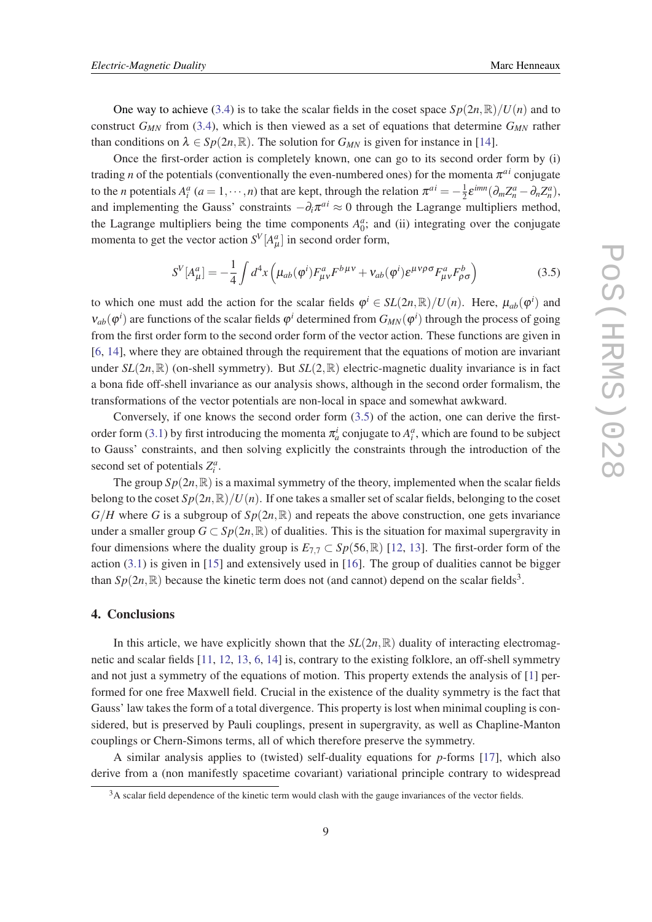One way to achieve ([3.4](#page-7-0)) is to take the scalar fields in the coset space  $Sp(2n,\mathbb{R})/U(n)$  and to construct *GMN* from ([3.4](#page-7-0)), which is then viewed as a set of equations that determine *GMN* rather than conditions on  $\lambda \in Sp(2n,\mathbb{R})$ . The solution for  $G_{MN}$  is given for instance in [[14\]](#page-10-0).

Once the first-order action is completely known, one can go to its second order form by (i) trading *n* of the potentials (conventionally the even-numbered ones) for the momenta  $\pi^{ai}$  conjugate to the *n* potentials  $A_i^a$  ( $a = 1, \dots, n$ ) that are kept, through the relation  $\pi^{ai} = -\frac{1}{2}$  $\frac{1}{2}\varepsilon^{imn}(\partial_m Z_n^a - \partial_n Z_n^a),$ and implementing the Gauss' constraints  $-\partial_i \pi^{ai} \approx 0$  through the Lagrange multipliers method, the Lagrange multipliers being the time components  $A_0^a$ ; and (ii) integrating over the conjugate momenta to get the vector action  $S^V[A^a_\mu]$  in second order form,

$$
S^{V}[A^{a}_{\mu}] = -\frac{1}{4} \int d^{4}x \left( \mu_{ab}(\varphi^{i}) F^{a}_{\mu\nu} F^{b\mu\nu} + \nu_{ab}(\varphi^{i}) \varepsilon^{\mu\nu\rho\sigma} F^{a}_{\mu\nu} F^{b}_{\rho\sigma} \right)
$$
(3.5)

to which one must add the action for the scalar fields  $\varphi^i \in SL(2n, \mathbb{R})/U(n)$ . Here,  $\mu_{ab}(\varphi^i)$  and  $v_{ab}(\varphi^i)$  are functions of the scalar fields  $\varphi^i$  determined from  $G_{MN}(\varphi^i)$  through the process of going from the first order form to the second order form of the vector action. These functions are given in [[6](#page-9-0), [14\]](#page-10-0), where they are obtained through the requirement that the equations of motion are invariant under  $SL(2n,\mathbb{R})$  (on-shell symmetry). But  $SL(2,\mathbb{R})$  electric-magnetic duality invariance is in fact a bona fide off-shell invariance as our analysis shows, although in the second order formalism, the transformations of the vector potentials are non-local in space and somewhat awkward.

Conversely, if one knows the second order form (3.5) of the action, one can derive the first-order form [\(3.1\)](#page-7-0) by first introducing the momenta  $\pi_a^i$  conjugate to  $A_i^a$ , which are found to be subject to Gauss' constraints, and then solving explicitly the constraints through the introduction of the second set of potentials  $Z_i^a$ .

The group  $Sp(2n,\mathbb{R})$  is a maximal symmetry of the theory, implemented when the scalar fields belong to the coset  $Sp(2n,\mathbb{R})/U(n)$ . If one takes a smaller set of scalar fields, belonging to the coset  $G/H$  where G is a subgroup of  $Sp(2n,\mathbb{R})$  and repeats the above construction, one gets invariance under a smaller group  $G \subset Sp(2n,\mathbb{R})$  of dualities. This is the situation for maximal supergravity in four dimensions where the duality group is  $E_{7,7} \subset Sp(56,\mathbb{R})$  [[12,](#page-10-0) [13\]](#page-10-0). The first-order form of the action  $(3.1)$  $(3.1)$  $(3.1)$  is given in  $[15]$  $[15]$  and extensively used in  $[16]$  $[16]$ . The group of dualities cannot be bigger than  $Sp(2n,\mathbb{R})$  because the kinetic term does not (and cannot) depend on the scalar fields<sup>3</sup>.

#### 4. Conclusions

In this article, we have explicitly shown that the  $SL(2n,\mathbb{R})$  duality of interacting electromagnetic and scalar fields [[11](#page-10-0), [12,](#page-10-0) [13](#page-10-0), [6,](#page-9-0) [14](#page-10-0)] is, contrary to the existing folklore, an off-shell symmetry and not just a symmetry of the equations of motion. This property extends the analysis of [[1](#page-9-0)] performed for one free Maxwell field. Crucial in the existence of the duality symmetry is the fact that Gauss' law takes the form of a total divergence. This property is lost when minimal coupling is considered, but is preserved by Pauli couplings, present in supergravity, as well as Chapline-Manton couplings or Chern-Simons terms, all of which therefore preserve the symmetry.

A similar analysis applies to (twisted) self-duality equations for *p*-forms [\[17](#page-10-0)], which also derive from a (non manifestly spacetime covariant) variational principle contrary to widespread

<sup>&</sup>lt;sup>3</sup>A scalar field dependence of the kinetic term would clash with the gauge invariances of the vector fields.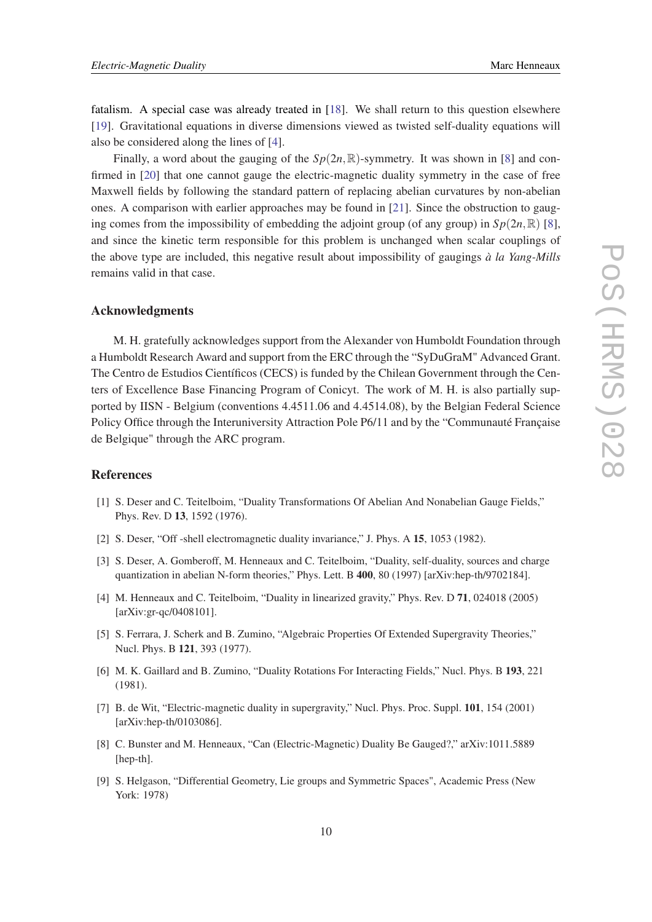<span id="page-9-0"></span>fatalism. A special case was already treated in [[18\]](#page-10-0). We shall return to this question elsewhere [[19\]](#page-10-0). Gravitational equations in diverse dimensions viewed as twisted self-duality equations will also be considered along the lines of [4].

Finally, a word about the gauging of the  $Sp(2n,\mathbb{R})$ -symmetry. It was shown in [8] and confirmed in [\[20](#page-10-0)] that one cannot gauge the electric-magnetic duality symmetry in the case of free Maxwell fields by following the standard pattern of replacing abelian curvatures by non-abelian ones. A comparison with earlier approaches may be found in [[21\]](#page-10-0). Since the obstruction to gauging comes from the impossibility of embedding the adjoint group (of any group) in  $Sp(2n,\mathbb{R})$  [8], and since the kinetic term responsible for this problem is unchanged when scalar couplings of the above type are included, this negative result about impossibility of gaugings *à la Yang-Mills* remains valid in that case.

### Acknowledgments

M. H. gratefully acknowledges support from the Alexander von Humboldt Foundation through a Humboldt Research Award and support from the ERC through the "SyDuGraM" Advanced Grant. The Centro de Estudios Científicos (CECS) is funded by the Chilean Government through the Centers of Excellence Base Financing Program of Conicyt. The work of M. H. is also partially supported by IISN - Belgium (conventions 4.4511.06 and 4.4514.08), by the Belgian Federal Science Policy Office through the Interuniversity Attraction Pole P6/11 and by the "Communauté Française de Belgique" through the ARC program.

# References

- [1] S. Deser and C. Teitelboim, "Duality Transformations Of Abelian And Nonabelian Gauge Fields," Phys. Rev. D 13, 1592 (1976).
- [2] S. Deser, "Off -shell electromagnetic duality invariance," J. Phys. A 15, 1053 (1982).
- [3] S. Deser, A. Gomberoff, M. Henneaux and C. Teitelboim, "Duality, self-duality, sources and charge quantization in abelian N-form theories," Phys. Lett. B 400, 80 (1997) [arXiv:hep-th/9702184].
- [4] M. Henneaux and C. Teitelboim, "Duality in linearized gravity," Phys. Rev. D 71, 024018 (2005) [arXiv:gr-qc/0408101].
- [5] S. Ferrara, J. Scherk and B. Zumino, "Algebraic Properties Of Extended Supergravity Theories," Nucl. Phys. B 121, 393 (1977).
- [6] M. K. Gaillard and B. Zumino, "Duality Rotations For Interacting Fields," Nucl. Phys. B 193, 221 (1981).
- [7] B. de Wit, "Electric-magnetic duality in supergravity," Nucl. Phys. Proc. Suppl. 101, 154 (2001) [arXiv:hep-th/0103086].
- [8] C. Bunster and M. Henneaux, "Can (Electric-Magnetic) Duality Be Gauged?," arXiv:1011.5889 [hep-th].
- [9] S. Helgason, "Differential Geometry, Lie groups and Symmetric Spaces", Academic Press (New York: 1978)